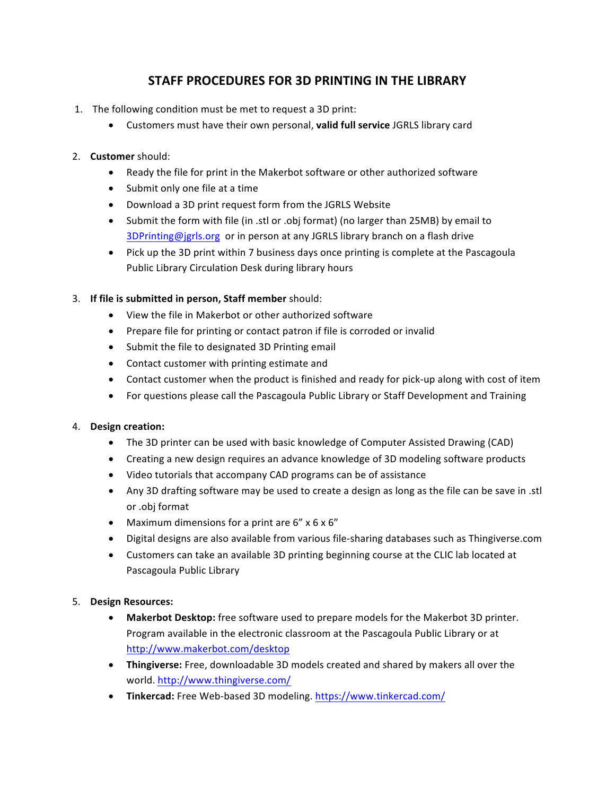# **STAFF PROCEDURES FOR 3D PRINTING IN THE LIBRARY**

- 1. The following condition must be met to request a 3D print:
	- Customers must have their own personal, **valid full service** JGRLS library card

# 2. **Customer** should:

- Ready the file for print in the Makerbot software or other authorized software
- Submit only one file at a time
- Download a 3D print request form from the JGRLS Website
- Submit the form with file (in .stl or .obj format) (no larger than 25MB) by email to  $3$ DPrinting@jgrls.org or in person at any JGRLS library branch on a flash drive
- Pick up the 3D print within 7 business days once printing is complete at the Pascagoula Public Library Circulation Desk during library hours

# 3. If file is submitted in person, Staff member should:

- View the file in Makerbot or other authorized software
- Prepare file for printing or contact patron if file is corroded or invalid
- Submit the file to designated 3D Printing email
- Contact customer with printing estimate and
- Contact customer when the product is finished and ready for pick-up along with cost of item
- For questions please call the Pascagoula Public Library or Staff Development and Training

### 4. **Design creation:**

- The 3D printer can be used with basic knowledge of Computer Assisted Drawing (CAD)
- Creating a new design requires an advance knowledge of 3D modeling software products
- Video tutorials that accompany CAD programs can be of assistance
- Any 3D drafting software may be used to create a design as long as the file can be save in .stl or .obj format
- Maximum dimensions for a print are  $6'' \times 6 \times 6''$
- Digital designs are also available from various file-sharing databases such as Thingiverse.com
- Customers can take an available 3D printing beginning course at the CLIC lab located at Pascagoula Public Library

### 5. **Design Resources:**

- Makerbot Desktop: free software used to prepare models for the Makerbot 3D printer. Program available in the electronic classroom at the Pascagoula Public Library or at http://www.makerbot.com/desktop
- **Thingiverse:** Free, downloadable 3D models created and shared by makers all over the world. http://www.thingiverse.com/
- **Tinkercad:** Free Web-based 3D modeling. https://www.tinkercad.com/